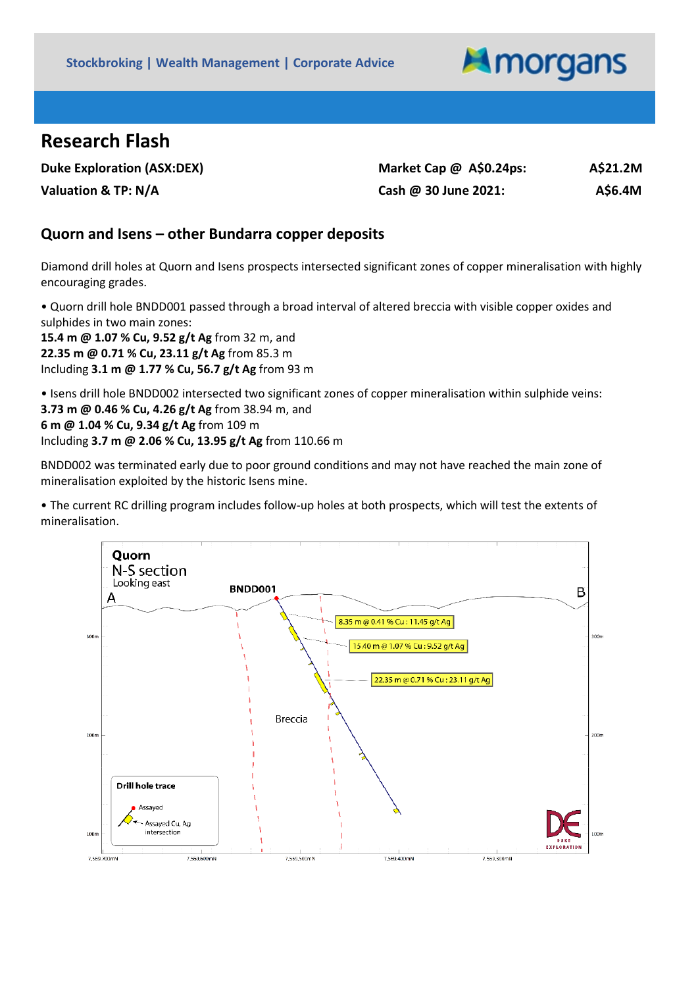

## **Research Flash**

| <b>Duke Exploration (ASX:DEX)</b> | Market Cap $\omega$ A\$0.24ps: | A\$21.2M |
|-----------------------------------|--------------------------------|----------|
| Valuation & TP: N/A               | Cash @ 30 June 2021:           | A\$6.4M  |

## **Quorn and Isens – other Bundarra copper deposits**

Diamond drill holes at Quorn and Isens prospects intersected significant zones of copper mineralisation with highly encouraging grades.

• Quorn drill hole BNDD001 passed through a broad interval of altered breccia with visible copper oxides and sulphides in two main zones:

**15.4 m @ 1.07 % Cu, 9.52 g/t Ag** from 32 m, and **22.35 m @ 0.71 % Cu, 23.11 g/t Ag** from 85.3 m Including **3.1 m @ 1.77 % Cu, 56.7 g/t Ag** from 93 m

• Isens drill hole BNDD002 intersected two significant zones of copper mineralisation within sulphide veins: **3.73 m @ 0.46 % Cu, 4.26 g/t Ag** from 38.94 m, and **6 m @ 1.04 % Cu, 9.34 g/t Ag** from 109 m Including **3.7 m @ 2.06 % Cu, 13.95 g/t Ag** from 110.66 m

BNDD002 was terminated early due to poor ground conditions and may not have reached the main zone of mineralisation exploited by the historic Isens mine.

• The current RC drilling program includes follow-up holes at both prospects, which will test the extents of mineralisation.